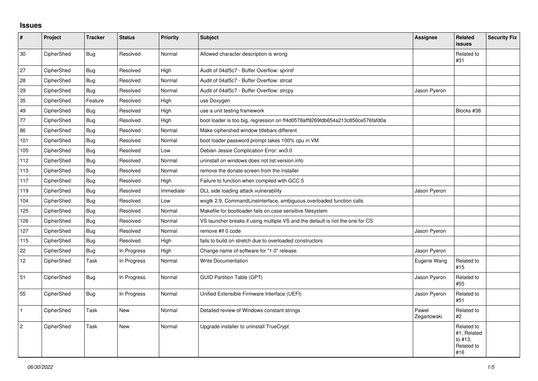## **Issues**

| #              | Project    | <b>Tracker</b> | <b>Status</b> | <b>Priority</b> | <b>Subject</b>                                                                 | <b>Assignee</b>      | <b>Related</b><br><b>issues</b>                           | <b>Security Fix</b> |
|----------------|------------|----------------|---------------|-----------------|--------------------------------------------------------------------------------|----------------------|-----------------------------------------------------------|---------------------|
| 30             | CipherShed | Bug            | Resolved      | Normal          | Allowed character description is wrong                                         |                      | Related to<br>#31                                         |                     |
| 27             | CipherShed | Bug            | Resolved      | High            | Audit of 04af5c7 - Buffer Overflow: sprintf                                    |                      |                                                           |                     |
| 28             | CipherShed | <b>Bug</b>     | Resolved      | Normal          | Audit of 04af5c7 - Buffer Overflow: strcat                                     |                      |                                                           |                     |
| 29             | CipherShed | <b>Bug</b>     | Resolved      | Normal          | Audit of 04af5c7 - Buffer Overflow: strcpy                                     | Jason Pyeron         |                                                           |                     |
| 35             | CipherShed | Feature        | Resolved      | High            | use Doxygen                                                                    |                      |                                                           |                     |
| 49             | CipherShed | Bug            | Resolved      | High            | use a unit testing framework                                                   |                      | Blocks #38                                                |                     |
| 77             | CipherShed | <b>Bug</b>     | Resolved      | High            | boot loader is too big, regression on ff4d0578aff9269fdb654a213c850ce576fafd0a |                      |                                                           |                     |
| 86             | CipherShed | Bug            | Resolved      | Normal          | Make ciphershed window titlebars different                                     |                      |                                                           |                     |
| 101            | CipherShed | Bug            | Resolved      | Normal          | boot loader password prompt takes 100% cpu in VM                               |                      |                                                           |                     |
| 105            | CipherShed | Bug            | Resolved      | Low             | Debian Jessie Complication Error: wx3.0                                        |                      |                                                           |                     |
| 112            | CipherShed | Bug            | Resolved      | Normal          | uninstall on windows does not list version info                                |                      |                                                           |                     |
| 113            | CipherShed | Bug            | Resolved      | Normal          | remove the donate screen from the installer                                    |                      |                                                           |                     |
| 117            | CipherShed | Bug            | Resolved      | High            | Failure to function when compiled with GCC 5                                   |                      |                                                           |                     |
| 119            | CipherShed | Bug            | Resolved      | Immediate       | DLL side loading attack vulnerability                                          | Jason Pyeron         |                                                           |                     |
| 104            | CipherShed | <b>Bug</b>     | Resolved      | Low             | wxgtk 2.9, CommandLineInterface, ambiguous overloaded function calls           |                      |                                                           |                     |
| 125            | CipherShed | Bug            | Resolved      | Normal          | Makefile for bootloader fails on case sensitive filesystem                     |                      |                                                           |                     |
| 126            | CipherShed | Bug            | Resolved      | Normal          | VS launcher breaks if using multiple VS and the default is not the one for CS  |                      |                                                           |                     |
| 127            | CipherShed | Bug            | Resolved      | Normal          | remove #if 0 code                                                              | Jason Pyeron         |                                                           |                     |
| 115            | CipherShed | Bug            | Resolved      | High            | fails to build on stretch due to overloaded constructors                       |                      |                                                           |                     |
| 22             | CipherShed | Bug            | In Progress   | High            | Change name of software for "1.0" release.                                     | Jason Pyeron         |                                                           |                     |
| 12             | CipherShed | Task           | In Progress   | Normal          | <b>Write Documentation</b>                                                     | Eugene Wang          | Related to<br>#15                                         |                     |
| 51             | CipherShed | <b>Bug</b>     | In Progress   | Normal          | <b>GUID Partition Table (GPT)</b>                                              | Jason Pyeron         | Related to<br>#55                                         |                     |
| 55             | CipherShed | <b>Bug</b>     | In Progress   | Normal          | Unified Extensible Firmware Interface (UEFI)                                   | Jason Pyeron         | Related to<br>#51                                         |                     |
| $\mathbf{1}$   | CipherShed | Task           | New           | Normal          | Detailed review of Windows constant strings                                    | Paweł<br>Zegartowski | Related to<br>$\#2$                                       |                     |
| $\overline{c}$ | CipherShed | Task           | <b>New</b>    | Normal          | Upgrade installer to uninstall TrueCrypt                                       |                      | Related to<br>#1, Related<br>to #13.<br>Related to<br>#16 |                     |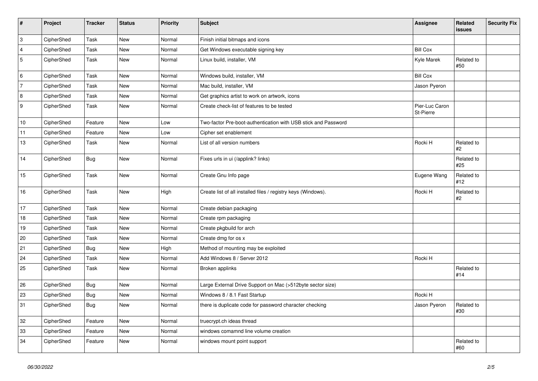| $\vert$ #      | Project    | <b>Tracker</b> | <b>Status</b> | Priority | <b>Subject</b>                                                 | Assignee                    | Related<br>issues | <b>Security Fix</b> |
|----------------|------------|----------------|---------------|----------|----------------------------------------------------------------|-----------------------------|-------------------|---------------------|
| $\overline{3}$ | CipherShed | <b>Task</b>    | <b>New</b>    | Normal   | Finish initial bitmaps and icons                               |                             |                   |                     |
| $\overline{4}$ | CipherShed | Task           | <b>New</b>    | Normal   | Get Windows executable signing key                             | <b>Bill Cox</b>             |                   |                     |
| 5              | CipherShed | Task           | <b>New</b>    | Normal   | Linux build, installer, VM                                     | Kyle Marek                  | Related to<br>#50 |                     |
| 6              | CipherShed | Task           | <b>New</b>    | Normal   | Windows build, installer, VM                                   | <b>Bill Cox</b>             |                   |                     |
| 7              | CipherShed | Task           | New           | Normal   | Mac build, installer, VM                                       | Jason Pyeron                |                   |                     |
| 8              | CipherShed | Task           | New           | Normal   | Get graphics artist to work on artwork, icons                  |                             |                   |                     |
| 9              | CipherShed | Task           | New           | Normal   | Create check-list of features to be tested                     | Pier-Luc Caron<br>St-Pierre |                   |                     |
| 10             | CipherShed | Feature        | <b>New</b>    | Low      | Two-factor Pre-boot-authentication with USB stick and Password |                             |                   |                     |
| 11             | CipherShed | Feature        | <b>New</b>    | Low      | Cipher set enablement                                          |                             |                   |                     |
| 13             | CipherShed | Task           | New           | Normal   | List of all version numbers                                    | Rocki H                     | Related to<br>#2  |                     |
| 14             | CipherShed | <b>Bug</b>     | <b>New</b>    | Normal   | Fixes urls in ui (/applink? links)                             |                             | Related to<br>#25 |                     |
| 15             | CipherShed | Task           | New           | Normal   | Create Gnu Info page                                           | Eugene Wang                 | Related to<br>#12 |                     |
| 16             | CipherShed | Task           | New           | High     | Create list of all installed files / registry keys (Windows).  | Rocki H                     | Related to<br>#2  |                     |
| 17             | CipherShed | Task           | <b>New</b>    | Normal   | Create debian packaging                                        |                             |                   |                     |
| 18             | CipherShed | Task           | <b>New</b>    | Normal   | Create rpm packaging                                           |                             |                   |                     |
| 19             | CipherShed | Task           | New           | Normal   | Create pkgbuild for arch                                       |                             |                   |                     |
| 20             | CipherShed | Task           | <b>New</b>    | Normal   | Create dmg for os x                                            |                             |                   |                     |
| 21             | CipherShed | <b>Bug</b>     | New           | High     | Method of mounting may be exploited                            |                             |                   |                     |
| 24             | CipherShed | Task           | <b>New</b>    | Normal   | Add Windows 8 / Server 2012                                    | Rocki H                     |                   |                     |
| 25             | CipherShed | Task           | New           | Normal   | Broken applinks                                                |                             | Related to<br>#14 |                     |
| 26             | CipherShed | <b>Bug</b>     | New           | Normal   | Large External Drive Support on Mac (>512byte sector size)     |                             |                   |                     |
| 23             | CipherShed | <b>Bug</b>     | New           | Normal   | Windows 8 / 8.1 Fast Startup                                   | Rocki H                     |                   |                     |
| 31             | CipherShed | <b>Bug</b>     | New           | Normal   | there is duplicate code for password character checking        | Jason Pyeron                | Related to<br>#30 |                     |
| $32\,$         | CipherShed | Feature        | <b>New</b>    | Normal   | truecrypt.ch ideas thread                                      |                             |                   |                     |
| 33             | CipherShed | Feature        | New           | Normal   | windows comamnd line volume creation                           |                             |                   |                     |
| 34             | CipherShed | Feature        | New           | Normal   | windows mount point support                                    |                             | Related to<br>#60 |                     |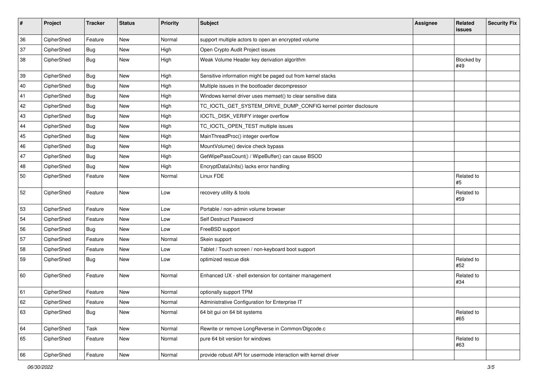| #  | Project    | <b>Tracker</b> | <b>Status</b> | Priority | Subject                                                         | <b>Assignee</b> | Related<br>issues | <b>Security Fix</b> |
|----|------------|----------------|---------------|----------|-----------------------------------------------------------------|-----------------|-------------------|---------------------|
| 36 | CipherShed | Feature        | <b>New</b>    | Normal   | support multiple actors to open an encrypted volume             |                 |                   |                     |
| 37 | CipherShed | <b>Bug</b>     | New           | High     | Open Crypto Audit Project issues                                |                 |                   |                     |
| 38 | CipherShed | <b>Bug</b>     | New           | High     | Weak Volume Header key derivation algorithm                     |                 | Blocked by<br>#49 |                     |
| 39 | CipherShed | <b>Bug</b>     | New           | High     | Sensitive information might be paged out from kernel stacks     |                 |                   |                     |
| 40 | CipherShed | <b>Bug</b>     | New           | High     | Multiple issues in the bootloader decompressor                  |                 |                   |                     |
| 41 | CipherShed | <b>Bug</b>     | New           | High     | Windows kernel driver uses memset() to clear sensitive data     |                 |                   |                     |
| 42 | CipherShed | <b>Bug</b>     | New           | High     | TC_IOCTL_GET_SYSTEM_DRIVE_DUMP_CONFIG kernel pointer disclosure |                 |                   |                     |
| 43 | CipherShed | <b>Bug</b>     | New           | High     | IOCTL_DISK_VERIFY integer overflow                              |                 |                   |                     |
| 44 | CipherShed | Bug            | New           | High     | TC_IOCTL_OPEN_TEST multiple issues                              |                 |                   |                     |
| 45 | CipherShed | <b>Bug</b>     | New           | High     | MainThreadProc() integer overflow                               |                 |                   |                     |
| 46 | CipherShed | <b>Bug</b>     | New           | High     | MountVolume() device check bypass                               |                 |                   |                     |
| 47 | CipherShed | Bug            | New           | High     | GetWipePassCount() / WipeBuffer() can cause BSOD                |                 |                   |                     |
| 48 | CipherShed | Bug            | New           | High     | EncryptDataUnits() lacks error handling                         |                 |                   |                     |
| 50 | CipherShed | Feature        | New           | Normal   | Linux FDE                                                       |                 | Related to<br>#5  |                     |
| 52 | CipherShed | Feature        | New           | Low      | recovery utility & tools                                        |                 | Related to<br>#59 |                     |
| 53 | CipherShed | Feature        | New           | Low      | Portable / non-admin volume browser                             |                 |                   |                     |
| 54 | CipherShed | Feature        | New           | Low      | Self Destruct Password                                          |                 |                   |                     |
| 56 | CipherShed | Bug            | New           | Low      | FreeBSD support                                                 |                 |                   |                     |
| 57 | CipherShed | Feature        | New           | Normal   | Skein support                                                   |                 |                   |                     |
| 58 | CipherShed | Feature        | New           | Low      | Tablet / Touch screen / non-keyboard boot support               |                 |                   |                     |
| 59 | CipherShed | <b>Bug</b>     | New           | Low      | optimized rescue disk                                           |                 | Related to<br>#52 |                     |
| 60 | CipherShed | Feature        | New           | Normal   | Enhanced UX - shell extension for container management          |                 | Related to<br>#34 |                     |
| 61 | CipherShed | Feature        | <b>New</b>    | Normal   | optionally support TPM                                          |                 |                   |                     |
| 62 | CipherShed | Feature        | New           | Normal   | Administrative Configuration for Enterprise IT                  |                 |                   |                     |
| 63 | CipherShed | Bug            | New           | Normal   | 64 bit gui on 64 bit systems                                    |                 | Related to<br>#65 |                     |
| 64 | CipherShed | Task           | New           | Normal   | Rewrite or remove LongReverse in Common/Dlgcode.c               |                 |                   |                     |
| 65 | CipherShed | Feature        | New           | Normal   | pure 64 bit version for windows                                 |                 | Related to<br>#63 |                     |
| 66 | CipherShed | Feature        | New           | Normal   | provide robust API for usermode interaction with kernel driver  |                 |                   |                     |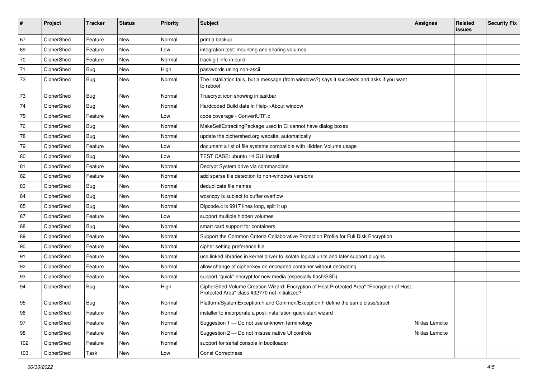| #   | Project    | <b>Tracker</b> | <b>Status</b> | <b>Priority</b> | <b>Subject</b>                                                                                                                             | <b>Assignee</b> | Related<br>issues | <b>Security Fix</b> |
|-----|------------|----------------|---------------|-----------------|--------------------------------------------------------------------------------------------------------------------------------------------|-----------------|-------------------|---------------------|
| 67  | CipherShed | Feature        | New           | Normal          | print a backup                                                                                                                             |                 |                   |                     |
| 69  | CipherShed | Feature        | New           | Low             | integration test: mounting and sharing volumes                                                                                             |                 |                   |                     |
| 70  | CipherShed | Feature        | New           | Normal          | track git info in build                                                                                                                    |                 |                   |                     |
| 71  | CipherShed | Bug            | New           | High            | passwords using non-ascii                                                                                                                  |                 |                   |                     |
| 72  | CipherShed | <b>Bug</b>     | New           | Normal          | The installation fails, but a message (from windows?) says it succeeds and asks if you want<br>to reboot                                   |                 |                   |                     |
| 73  | CipherShed | <b>Bug</b>     | New           | Normal          | Truecrypt icon showing in taskbar                                                                                                          |                 |                   |                     |
| 74  | CipherShed | Bug            | New           | Normal          | Hardcoded Build date in Help->About window                                                                                                 |                 |                   |                     |
| 75  | CipherShed | Feature        | <b>New</b>    | Low             | code coverage - ConvertUTF.c                                                                                                               |                 |                   |                     |
| 76  | CipherShed | <b>Bug</b>     | New           | Normal          | MakeSelfExtractingPackage used in CI cannot have dialog boxes                                                                              |                 |                   |                     |
| 78  | CipherShed | <b>Bug</b>     | New           | Normal          | update the ciphershed org website, automatically                                                                                           |                 |                   |                     |
| 79  | CipherShed | Feature        | New           | Low             | document a list of file systems compatible with Hidden Volume usage                                                                        |                 |                   |                     |
| 80  | CipherShed | Bug            | <b>New</b>    | Low             | TEST CASE: ubuntu 14 GUI install                                                                                                           |                 |                   |                     |
| 81  | CipherShed | Feature        | New           | Normal          | Decrypt System drive via commandline                                                                                                       |                 |                   |                     |
| 82  | CipherShed | Feature        | New           | Normal          | add sparse file detection to non-windows versions                                                                                          |                 |                   |                     |
| 83  | CipherShed | Bug            | New           | Normal          | deduplicate file names                                                                                                                     |                 |                   |                     |
| 84  | CipherShed | <b>Bug</b>     | New           | Normal          | wcsncpy is subject to buffer overflow                                                                                                      |                 |                   |                     |
| 85  | CipherShed | <b>Bug</b>     | <b>New</b>    | Normal          | Digcode.c is 9917 lines long, split it up                                                                                                  |                 |                   |                     |
| 87  | CipherShed | Feature        | New           | Low             | support multiple hidden volumes                                                                                                            |                 |                   |                     |
| 88  | CipherShed | <b>Bug</b>     | New           | Normal          | smart card support for containers                                                                                                          |                 |                   |                     |
| 89  | CipherShed | Feature        | <b>New</b>    | Normal          | Support the Common Criteria Collaborative Protection Profile for Full Disk Encryption                                                      |                 |                   |                     |
| 90  | CipherShed | Feature        | New           | Normal          | cipher setting preference file                                                                                                             |                 |                   |                     |
| 91  | CipherShed | Feature        | New           | Normal          | use linked libraries in kernel driver to isolate logical units and later support plugins                                                   |                 |                   |                     |
| 92  | CipherShed | Feature        | New           | Normal          | allow change of cipher/key on encrypted container without decrypting                                                                       |                 |                   |                     |
| 93  | CipherShed | Feature        | New           | Normal          | support "quick" encrypt for new media (especially flash/SSD)                                                                               |                 |                   |                     |
| 94  | CipherShed | Bug            | New           | High            | CipherShed Volume Creation Wizard: Encryption of Host Protected Area":"Encryption of Host<br>Protected Area" class #32770 not initialized? |                 |                   |                     |
| 95  | CipherShed | Bug            | New           | Normal          | Platform/SystemException.h and Common/Exception.h define the same class/struct                                                             |                 |                   |                     |
| 96  | CipherShed | Feature        | New           | Normal          | installer to incorporate a post-installation quick-start wizard                                                                            |                 |                   |                     |
| 97  | CipherShed | Feature        | New           | Normal          | Suggestion 1 - Do not use unknown terminology                                                                                              | Niklas Lemcke   |                   |                     |
| 98  | CipherShed | Feature        | New           | Normal          | Suggestion 2 - Do not misuse native UI controls                                                                                            | Niklas Lemcke   |                   |                     |
| 102 | CipherShed | Feature        | New           | Normal          | support for serial console in bootloader                                                                                                   |                 |                   |                     |
| 103 | CipherShed | Task           | New           | Low             | <b>Const Correctness</b>                                                                                                                   |                 |                   |                     |